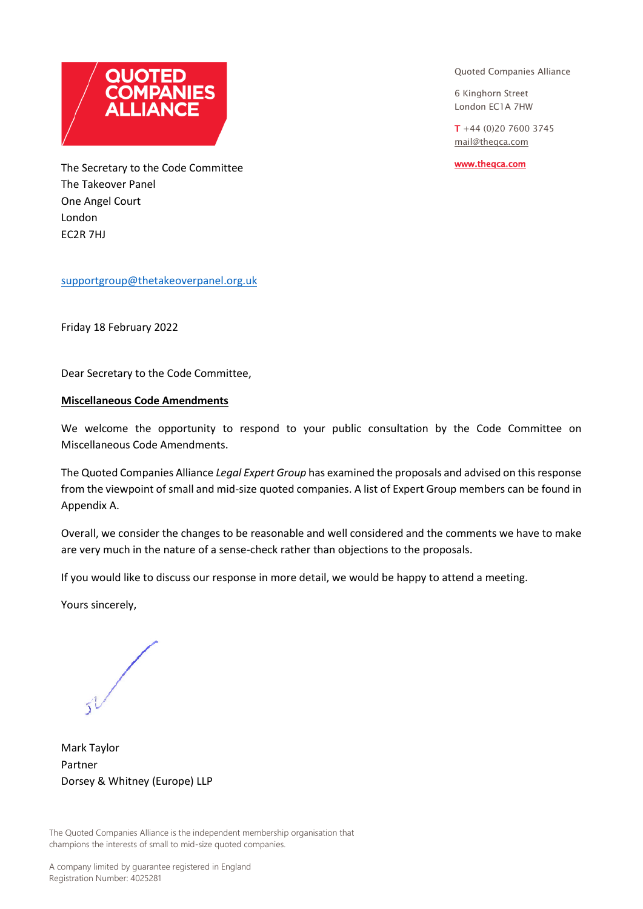

Quoted Companies Alliance

6 Kinghorn Street London EC1A 7HW

 $T + 44 (0)20 7600 3745$ [mail@theqca.com](mailto:mail@theqca.com)

[www.theqca.com](http://www.theqca.com/) 

The Secretary to the Code Committee The Takeover Panel One Angel Court London EC2R 7HJ

[supportgroup@thetakeoverpanel.org.uk](mailto:supportgroup@thetakeoverpanel.org.uk)

Friday 18 February 2022

Dear Secretary to the Code Committee,

#### **Miscellaneous Code Amendments**

We welcome the opportunity to respond to your public consultation by the Code Committee on Miscellaneous Code Amendments.

The Quoted Companies Alliance *Legal Expert Group* has examined the proposals and advised on this response from the viewpoint of small and mid-size quoted companies. A list of Expert Group members can be found in Appendix A.

Overall, we consider the changes to be reasonable and well considered and the comments we have to make are very much in the nature of a sense-check rather than objections to the proposals.

If you would like to discuss our response in more detail, we would be happy to attend a meeting.

Yours sincerely,

Mark Taylor Partner Dorsey & Whitney (Europe) LLP

The Quoted Companies Alliance is the independent membership organisation that champions the interests of small to mid-size quoted companies.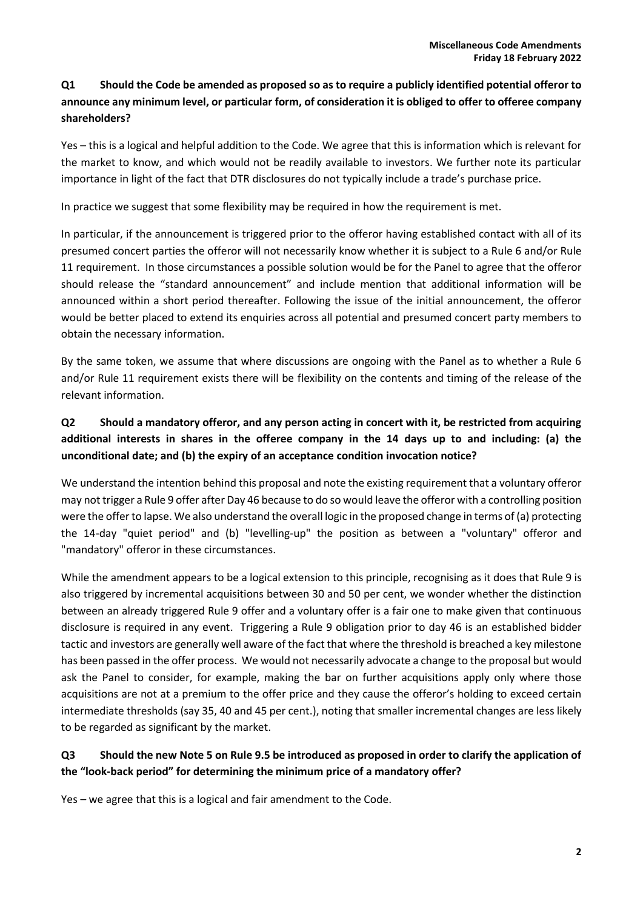## **Q1 Should the Code be amended as proposed so as to require a publicly identified potential offeror to announce any minimum level, or particular form, of consideration it is obliged to offer to offeree company shareholders?**

Yes – this is a logical and helpful addition to the Code. We agree that this is information which is relevant for the market to know, and which would not be readily available to investors. We further note its particular importance in light of the fact that DTR disclosures do not typically include a trade's purchase price.

In practice we suggest that some flexibility may be required in how the requirement is met.

In particular, if the announcement is triggered prior to the offeror having established contact with all of its presumed concert parties the offeror will not necessarily know whether it is subject to a Rule 6 and/or Rule 11 requirement. In those circumstances a possible solution would be for the Panel to agree that the offeror should release the "standard announcement" and include mention that additional information will be announced within a short period thereafter. Following the issue of the initial announcement, the offeror would be better placed to extend its enquiries across all potential and presumed concert party members to obtain the necessary information.

By the same token, we assume that where discussions are ongoing with the Panel as to whether a Rule 6 and/or Rule 11 requirement exists there will be flexibility on the contents and timing of the release of the relevant information.

# **Q2 Should a mandatory offeror, and any person acting in concert with it, be restricted from acquiring additional interests in shares in the offeree company in the 14 days up to and including: (a) the unconditional date; and (b) the expiry of an acceptance condition invocation notice?**

We understand the intention behind this proposal and note the existing requirement that a voluntary offeror may not trigger a Rule 9 offer after Day 46 because to do so would leave the offeror with a controlling position were the offer to lapse. We also understand the overall logic in the proposed change in terms of (a) protecting the 14-day "quiet period" and (b) "levelling-up" the position as between a "voluntary" offeror and "mandatory" offeror in these circumstances.

While the amendment appears to be a logical extension to this principle, recognising as it does that Rule 9 is also triggered by incremental acquisitions between 30 and 50 per cent, we wonder whether the distinction between an already triggered Rule 9 offer and a voluntary offer is a fair one to make given that continuous disclosure is required in any event. Triggering a Rule 9 obligation prior to day 46 is an established bidder tactic and investors are generally well aware of the fact that where the threshold is breached a key milestone has been passed in the offer process. We would not necessarily advocate a change to the proposal but would ask the Panel to consider, for example, making the bar on further acquisitions apply only where those acquisitions are not at a premium to the offer price and they cause the offeror's holding to exceed certain intermediate thresholds (say 35, 40 and 45 per cent.), noting that smaller incremental changes are less likely to be regarded as significant by the market.

#### **Q3 Should the new Note 5 on Rule 9.5 be introduced as proposed in order to clarify the application of the "look-back period" for determining the minimum price of a mandatory offer?**

Yes – we agree that this is a logical and fair amendment to the Code.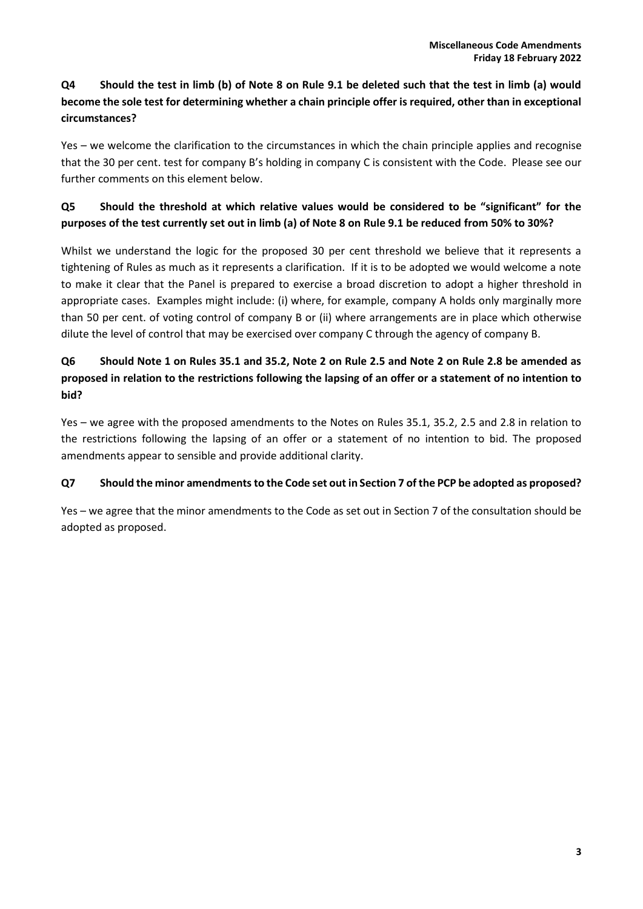## **Q4 Should the test in limb (b) of Note 8 on Rule 9.1 be deleted such that the test in limb (a) would become the sole test for determining whether a chain principle offer is required, other than in exceptional circumstances?**

Yes – we welcome the clarification to the circumstances in which the chain principle applies and recognise that the 30 per cent. test for company B's holding in company C is consistent with the Code. Please see our further comments on this element below.

## **Q5 Should the threshold at which relative values would be considered to be "significant" for the purposes of the test currently set out in limb (a) of Note 8 on Rule 9.1 be reduced from 50% to 30%?**

Whilst we understand the logic for the proposed 30 per cent threshold we believe that it represents a tightening of Rules as much as it represents a clarification. If it is to be adopted we would welcome a note to make it clear that the Panel is prepared to exercise a broad discretion to adopt a higher threshold in appropriate cases. Examples might include: (i) where, for example, company A holds only marginally more than 50 per cent. of voting control of company B or (ii) where arrangements are in place which otherwise dilute the level of control that may be exercised over company C through the agency of company B.

## **Q6 Should Note 1 on Rules 35.1 and 35.2, Note 2 on Rule 2.5 and Note 2 on Rule 2.8 be amended as proposed in relation to the restrictions following the lapsing of an offer or a statement of no intention to bid?**

Yes – we agree with the proposed amendments to the Notes on Rules 35.1, 35.2, 2.5 and 2.8 in relation to the restrictions following the lapsing of an offer or a statement of no intention to bid. The proposed amendments appear to sensible and provide additional clarity.

#### **Q7 Should the minor amendments to the Code set out in Section 7 of the PCP be adopted as proposed?**

Yes – we agree that the minor amendments to the Code as set out in Section 7 of the consultation should be adopted as proposed.